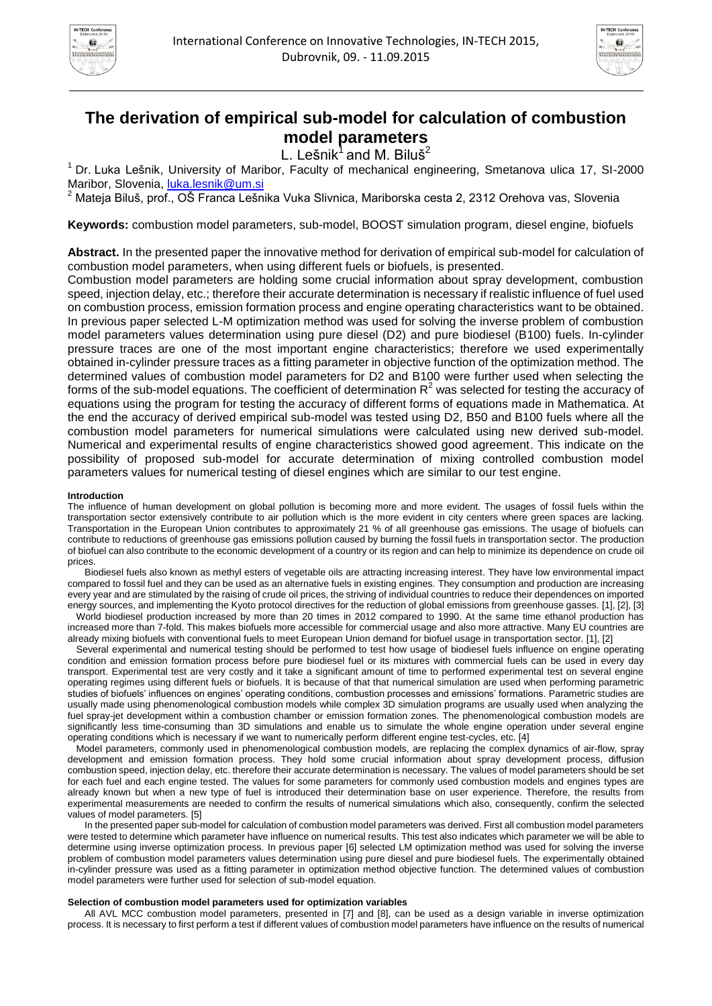



# **The derivation of empirical sub-model for calculation of combustion model parameters**

L. Lešnik $^1$  and M. Biluš<sup>2</sup>

<sup>1</sup>Dr. Luka Lešnik, University of Maribor, Faculty of mechanical engineering, Smetanova ulica 17, SI-2000 Maribor, Slovenia, [luka.lesnik@um.si](mailto:luka.lesnik@um.si)

<sup>2</sup> Mateja Biluš, prof., OŠ Franca Lešnika Vuka Slivnica, Mariborska cesta 2, 2312 Orehova vas, Slovenia

**Keywords:** combustion model parameters, sub-model, BOOST simulation program, diesel engine, biofuels

**Abstract.** In the presented paper the innovative method for derivation of empirical sub-model for calculation of combustion model parameters, when using different fuels or biofuels, is presented.

Combustion model parameters are holding some crucial information about spray development, combustion speed, injection delay, etc.; therefore their accurate determination is necessary if realistic influence of fuel used on combustion process, emission formation process and engine operating characteristics want to be obtained. In previous paper selected L-M optimization method was used for solving the inverse problem of combustion model parameters values determination using pure diesel (D2) and pure biodiesel (B100) fuels. In-cylinder pressure traces are one of the most important engine characteristics; therefore we used experimentally obtained in-cylinder pressure traces as a fitting parameter in objective function of the optimization method. The determined values of combustion model parameters for D2 and B100 were further used when selecting the forms of the sub-model equations. The coefficient of determination  $R<sup>2</sup>$  was selected for testing the accuracy of equations using the program for testing the accuracy of different forms of equations made in Mathematica. At the end the accuracy of derived empirical sub-model was tested using D2, B50 and B100 fuels where all the combustion model parameters for numerical simulations were calculated using new derived sub-model. Numerical and experimental results of engine characteristics showed good agreement. This indicate on the possibility of proposed sub-model for accurate determination of mixing controlled combustion model parameters values for numerical testing of diesel engines which are similar to our test engine.

# **Introduction**

The influence of human development on global pollution is becoming more and more evident. The usages of fossil fuels within the transportation sector extensively contribute to air pollution which is the more evident in city centers where green spaces are lacking. Transportation in the European Union contributes to approximately 21 % of all greenhouse gas emissions. The usage of biofuels can contribute to reductions of greenhouse gas emissions pollution caused by burning the fossil fuels in transportation sector. The production of biofuel can also contribute to the economic development of a country or its region and can help to minimize its dependence on crude oil prices.

Biodiesel fuels also known as methyl esters of vegetable oils are attracting increasing interest. They have low environmental impact compared to fossil fuel and they can be used as an alternative fuels in existing engines. They consumption and production are increasing every year and are stimulated by the raising of crude oil prices, the striving of individual countries to reduce their dependences on imported energy sources, and implementing the Kyoto protocol directives for the reduction of global emissions from greenhouse gasses. [1], [2], [3]

World biodiesel production increased by more than 20 times in 2012 compared to 1990. At the same time ethanol production has increased more than 7-fold. This makes biofuels more accessible for commercial usage and also more attractive. Many EU countries are already mixing biofuels with conventional fuels to meet European Union demand for biofuel usage in transportation sector. [1], [2]

Several experimental and numerical testing should be performed to test how usage of biodiesel fuels influence on engine operating condition and emission formation process before pure biodiesel fuel or its mixtures with commercial fuels can be used in every day transport. Experimental test are very costly and it take a significant amount of time to performed experimental test on several engine operating regimes using different fuels or biofuels. It is because of that that numerical simulation are used when performing parametric studies of biofuels' influences on engines' operating conditions, combustion processes and emissions' formations. Parametric studies are usually made using phenomenological combustion models while complex 3D simulation programs are usually used when analyzing the fuel spray-jet development within a combustion chamber or emission formation zones. The phenomenological combustion models are significantly less time-consuming than 3D simulations and enable us to simulate the whole engine operation under several engine operating conditions which is necessary if we want to numerically perform different engine test-cycles, etc. [4]

Model parameters, commonly used in phenomenological combustion models, are replacing the complex dynamics of air-flow, spray development and emission formation process. They hold some crucial information about spray development process, diffusion combustion speed, injection delay, etc. therefore their accurate determination is necessary. The values of model parameters should be set for each fuel and each engine tested. The values for some parameters for commonly used combustion models and engines types are already known but when a new type of fuel is introduced their determination base on user experience. Therefore, the results from experimental measurements are needed to confirm the results of numerical simulations which also, consequently, confirm the selected values of model parameters. [5]

In the presented paper sub-model for calculation of combustion model parameters was derived. First all combustion model parameters were tested to determine which parameter have influence on numerical results. This test also indicates which parameter we will be able to determine using inverse optimization process. In previous paper [6] selected LM optimization method was used for solving the inverse problem of combustion model parameters values determination using pure diesel and pure biodiesel fuels. The experimentally obtained in-cylinder pressure was used as a fitting parameter in optimization method objective function. The determined values of combustion model parameters were further used for selection of sub-model equation.

### **Selection of combustion model parameters used for optimization variables**

All AVL MCC combustion model parameters, presented in [7] and [8], can be used as a design variable in inverse optimization process. It is necessary to first perform a test if different values of combustion model parameters have influence on the results of numerical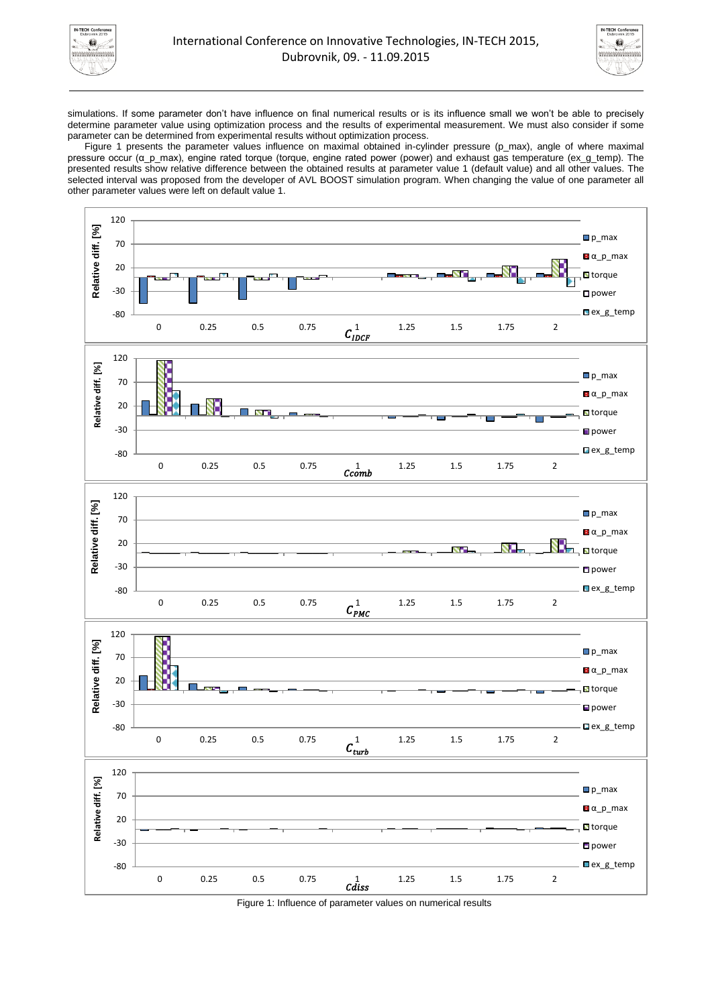



simulations. If some parameter don't have influence on final numerical results or is its influence small we won't be able to precisely determine parameter value using optimization process and the results of experimental measurement. We must also consider if some parameter can be determined from experimental results without optimization process.

[Figure 1](#page-1-0) presents the parameter values influence on maximal obtained in-cylinder pressure (p\_max), angle of where maximal pressure occur (α\_p\_max), engine rated torque (torque, engine rated power (power) and exhaust gas temperature (ex\_g\_temp). The presented results show relative difference between the obtained results at parameter value 1 (default value) and all other values. The selected interval was proposed from the developer of AVL BOOST simulation program. When changing the value of one parameter all other parameter values were left on default value 1.



<span id="page-1-0"></span>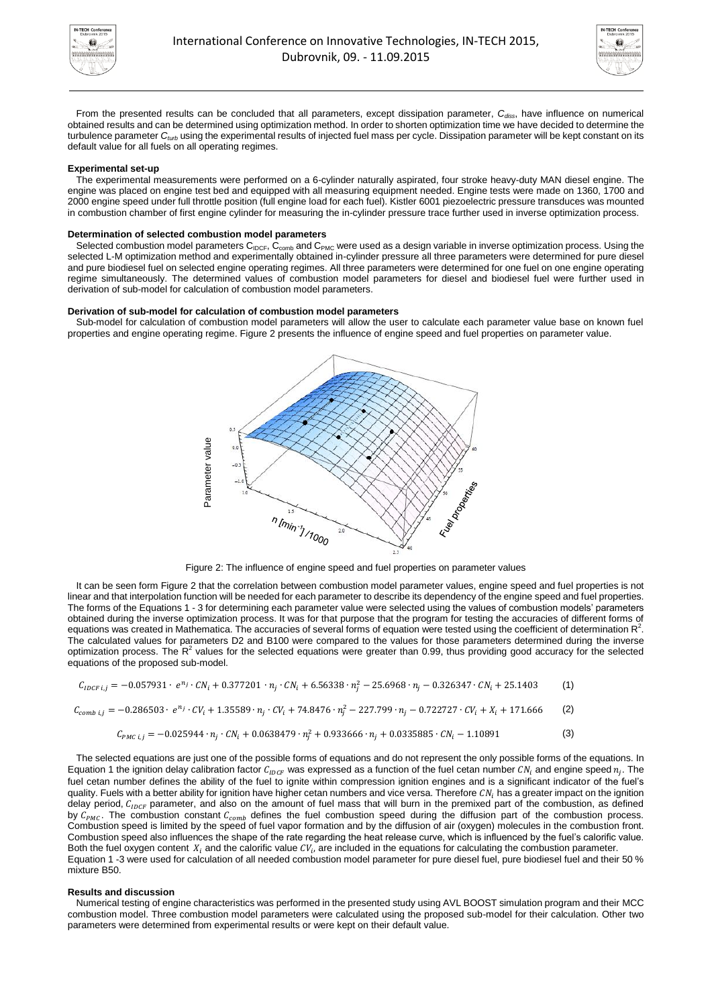



From the presented results can be concluded that all parameters, except dissipation parameter, *Cdiss*, have influence on numerical obtained results and can be determined using optimization method. In order to shorten optimization time we have decided to determine the turbulence parameter *Cturb* using the experimental results of injected fuel mass per cycle. Dissipation parameter will be kept constant on its default value for all fuels on all operating regimes.

## **Experimental set-up**

The experimental measurements were performed on a 6-cylinder naturally aspirated, four stroke heavy-duty MAN diesel engine. The engine was placed on engine test bed and equipped with all measuring equipment needed. Engine tests were made on 1360, 1700 and 2000 engine speed under full throttle position (full engine load for each fuel). Kistler 6001 piezoelectric pressure transduces was mounted in combustion chamber of first engine cylinder for measuring the in-cylinder pressure trace further used in inverse optimization process.

#### **Determination of selected combustion model parameters**

Selected combustion model parameters  $C_{\text{IDCF}}$ ,  $C_{\text{comb}}$  and  $C_{\text{PMC}}$  were used as a design variable in inverse optimization process. Using the selected L-M optimization method and experimentally obtained in-cylinder pressure all three parameters were determined for pure diesel and pure biodiesel fuel on selected engine operating regimes. All three parameters were determined for one fuel on one engine operating regime simultaneously. The determined values of combustion model parameters for diesel and biodiesel fuel were further used in derivation of sub-model for calculation of combustion model parameters.

#### **Derivation of sub-model for calculation of combustion model parameters**

Sub-model for calculation of combustion model parameters will allow the user to calculate each parameter value base on known fuel properties and engine operating regime. [Figure 2](#page-2-0) presents the influence of engine speed and fuel properties on parameter value.





<span id="page-2-0"></span>It can be seen for[m Figure 2](#page-2-0) that the correlation between combustion model parameter values, engine speed and fuel properties is not linear and that interpolation function will be needed for each parameter to describe its dependency of the engine speed and fuel properties. The forms of the Equations 1 - 3 for determining each parameter value were selected using the values of combustion models' parameters obtained during the inverse optimization process. It was for that purpose that the program for testing the accuracies of different forms of equations was created in Mathematica. The accuracies of several forms of equation were tested using the coefficient of determination  $R^2$ . The calculated values for parameters D2 and B100 were compared to the values for those parameters determined during the inverse optimization process. The  $R^2$  values for the selected equations were greater than 0.99, thus providing good accuracy for the selected equations of the proposed sub-model.

$$
C_{IDCF\ i,j} = -0.057931 \cdot e^{n_j} \cdot CN_i + 0.377201 \cdot n_j \cdot CN_i + 6.56338 \cdot n_j^2 - 25.6968 \cdot n_j - 0.326347 \cdot CN_i + 25.1403 \tag{1}
$$

$$
C_{comb\; i,j} = -0.286503 \cdot e^{n_j} \cdot CV_i + 1.35589 \cdot n_j \cdot CV_i + 74.8476 \cdot n_j^2 - 227.799 \cdot n_j - 0.722727 \cdot CV_i + X_i + 171.666 \tag{2}
$$

$$
C_{PMC\ i,j} = -0.025944 \cdot n_j \cdot CN_i + 0.0638479 \cdot n_j^2 + 0.933666 \cdot n_j + 0.0335885 \cdot CN_i - 1.10891
$$
 (3)

The selected equations are just one of the possible forms of equations and do not represent the only possible forms of the equations. In Equation 1 the ignition delay calibration factor  $C_{IDCF}$  was expressed as a function of the fuel cetan number  $CN_i$  and engine speed  $n_j$ . The fuel cetan number defines the ability of the fuel to ignite within compression ignition engines and is a significant indicator of the fuel's quality. Fuels with a better ability for ignition have higher cetan numbers and vice versa. Therefore  $CN<sub>i</sub>$  has a greater impact on the ignition delay period,  $C_{IDCF}$  parameter, and also on the amount of fuel mass that will burn in the premixed part of the combustion, as defined by  $C_{PMC}$ . The combustion constant  $C_{comb}$  defines the fuel combustion speed during the diffusion part of the combustion process. Combustion speed is limited by the speed of fuel vapor formation and by the diffusion of air (oxygen) molecules in the combustion front. Combustion speed also influences the shape of the rate regarding the heat release curve, which is influenced by the fuel's calorific value. Both the fuel oxygen content  $X_i$  and the calorific value  $CV_i$ , are included in the equations for calculating the combustion parameter. Equation 1 -3 were used for calculation of all needed combustion model parameter for pure diesel fuel, pure biodiesel fuel and their 50 % mixture B50. **Example 19**<br> **Example 19**<br> **Example 19**<br> **Example 19**<br> **Example 19**<br> **Example 19**<br> **Example 19**<br> **Example 19**<br> **Example 19**<br> **Example 19**<br> **Example 19**<br> **Example 19**<br> **Example 19**<br> **Example 19**<br> **Example 19**<br> **Example 19** 

#### **Results and discussion**

Numerical testing of engine characteristics was performed in the presented study using AVL BOOST simulation program and their MCC combustion model. Three combustion model parameters were calculated using the proposed sub-model for their calculation. Other two